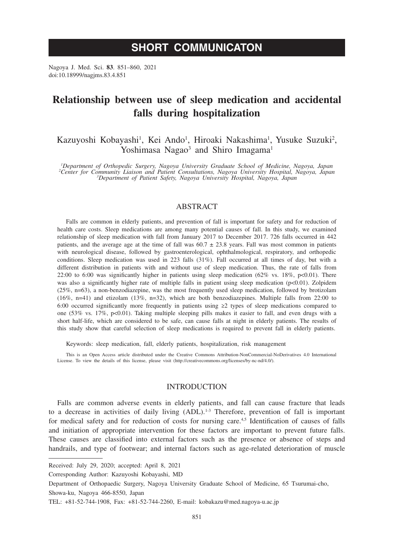# **SHORT COMMUNICATON**

Nagoya J. Med. Sci. **83**. 851–860, 2021 doi:10.18999/nagjms.83.4.851

# **Relationship between use of sleep medication and accidental falls during hospitalization**

Kazuyoshi Kobayashi<sup>1</sup>, Kei Ando<sup>1</sup>, Hiroaki Nakashima<sup>1</sup>, Yusuke Suzuki<sup>2</sup>, Yoshimasa Nagao<sup>3</sup> and Shiro Imagama<sup>1</sup>

<sup>1</sup>Department of Orthopedic Surgery, Nagoya University Graduate School of Medicine, Nagoya, Japan<br><sup>2</sup>Center for Community Liaison and Patient Consultations, Nagoya University Hospital, Nagoya, Japan<br>Center for *2Department Department of Patient Safety, Nagoya University Hospital, Nagoya, Japan*

## ABSTRACT

Falls are common in elderly patients, and prevention of fall is important for safety and for reduction of health care costs. Sleep medications are among many potential causes of fall. In this study, we examined relationship of sleep medication with fall from January 2017 to December 2017. 726 falls occurred in 442 patients, and the average age at the time of fall was  $60.7 \pm 23.8$  years. Fall was most common in patients with neurological disease, followed by gastroenterological, ophthalmological, respiratory, and orthopedic conditions. Sleep medication was used in 223 falls (31%). Fall occurred at all times of day, but with a different distribution in patients with and without use of sleep medication. Thus, the rate of falls from 22:00 to 6:00 was significantly higher in patients using sleep medication (62% vs. 18%, p<0.01). There was also a significantly higher rate of multiple falls in patient using sleep medication (p<0.01). Zolpidem (25%, n=63), a non-benzodiazepine, was the most frequently used sleep medication, followed by brotizolam (16%, n=41) and etizolam (13%, n=32), which are both benzodiazepines. Multiple falls from 22:00 to 6:00 occurred significantly more frequently in patients using ≥2 types of sleep medications compared to one (53% vs. 17%, p<0.01). Taking multiple sleeping pills makes it easier to fall, and even drugs with a short half-life, which are considered to be safe, can cause falls at night in elderly patients. The results of this study show that careful selection of sleep medications is required to prevent fall in elderly patients.

Keywords: sleep medication, fall, elderly patients, hospitalization, risk management

This is an Open Access article distributed under the Creative Commons Attribution-NonCommercial-NoDerivatives 4.0 International License. To view the details of this license, please visit (http://creativecommons.org/licenses/by-nc-nd/4.0/).

#### INTRODUCTION

Falls are common adverse events in elderly patients, and fall can cause fracture that leads to a decrease in activities of daily living  $(ADL)$ .<sup>1-3</sup> Therefore, prevention of fall is important for medical safety and for reduction of costs for nursing care.<sup>4,5</sup> Identification of causes of falls and initiation of appropriate intervention for these factors are important to prevent future falls. These causes are classified into external factors such as the presence or absence of steps and handrails, and type of footwear; and internal factors such as age-related deterioration of muscle

Corresponding Author: Kazuyoshi Kobayashi, MD

Department of Orthopaedic Surgery, Nagoya University Graduate School of Medicine, 65 Tsurumai-cho, Showa-ku, Nagoya 466-8550, Japan

Received: July 29, 2020; accepted: April 8, 2021

TEL: +81-52-744-1908, Fax: +81-52-744-2260, E-mail: kobakazu@med.nagoya-u.ac.jp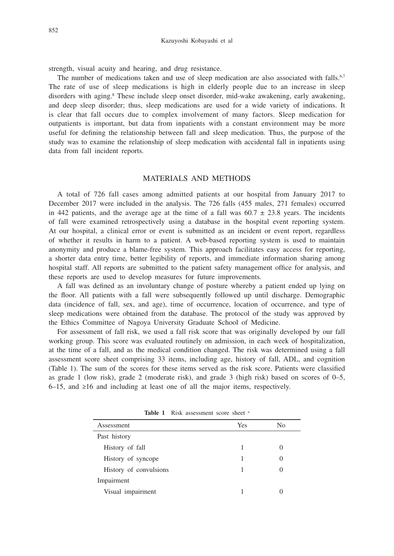strength, visual acuity and hearing, and drug resistance.

The number of medications taken and use of sleep medication are also associated with falls.<sup>6,7</sup> The rate of use of sleep medications is high in elderly people due to an increase in sleep disorders with aging.<sup>8</sup> These include sleep onset disorder, mid-wake awakening, early awakening, and deep sleep disorder; thus, sleep medications are used for a wide variety of indications. It is clear that fall occurs due to complex involvement of many factors. Sleep medication for outpatients is important, but data from inpatients with a constant environment may be more useful for defining the relationship between fall and sleep medication. Thus, the purpose of the study was to examine the relationship of sleep medication with accidental fall in inpatients using data from fall incident reports.

#### MATERIALS AND METHODS

A total of 726 fall cases among admitted patients at our hospital from January 2017 to December 2017 were included in the analysis. The 726 falls (455 males, 271 females) occurred in 442 patients, and the average age at the time of a fall was  $60.7 \pm 23.8$  years. The incidents of fall were examined retrospectively using a database in the hospital event reporting system. At our hospital, a clinical error or event is submitted as an incident or event report, regardless of whether it results in harm to a patient. A web-based reporting system is used to maintain anonymity and produce a blame-free system. This approach facilitates easy access for reporting, a shorter data entry time, better legibility of reports, and immediate information sharing among hospital staff. All reports are submitted to the patient safety management office for analysis, and these reports are used to develop measures for future improvements.

A fall was defined as an involuntary change of posture whereby a patient ended up lying on the floor. All patients with a fall were subsequently followed up until discharge. Demographic data (incidence of fall, sex, and age), time of occurrence, location of occurrence, and type of sleep medications were obtained from the database. The protocol of the study was approved by the Ethics Committee of Nagoya University Graduate School of Medicine.

For assessment of fall risk, we used a fall risk score that was originally developed by our fall working group. This score was evaluated routinely on admission, in each week of hospitalization, at the time of a fall, and as the medical condition changed. The risk was determined using a fall assessment score sheet comprising 33 items, including age, history of fall, ADL, and cognition (Table 1). The sum of the scores for these items served as the risk score. Patients were classified as grade 1 (low risk), grade 2 (moderate risk), and grade 3 (high risk) based on scores of 0–5, 6–15, and ≥16 and including at least one of all the major items, respectively.

| Assessment             | <b>Yes</b> | No |  |
|------------------------|------------|----|--|
| Past history           |            |    |  |
| History of fall        |            |    |  |
| History of syncope     |            |    |  |
| History of convulsions |            |    |  |
| Impairment             |            |    |  |
| Visual impairment      |            |    |  |
|                        |            |    |  |

Table 1 Risk assessment score sheet a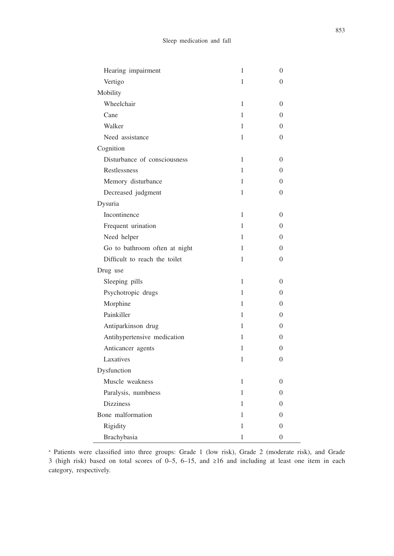| Hearing impairment            | $\mathbf{1}$ | $\overline{0}$   |
|-------------------------------|--------------|------------------|
| Vertigo                       | 1            | $\theta$         |
| Mobility                      |              |                  |
| Wheelchair                    | 1            | $\theta$         |
| Cane                          | 1            | $\overline{0}$   |
| Walker                        | 1            | $\theta$         |
| Need assistance               | 1            | $\theta$         |
| Cognition                     |              |                  |
| Disturbance of consciousness  | 1            | $\overline{0}$   |
| Restlessness                  | 1            | $\theta$         |
| Memory disturbance            | 1            | 0                |
| Decreased judgment            | 1            | 0                |
| Dysuria                       |              |                  |
| Incontinence                  | 1            | $\Omega$         |
| Frequent urination            | 1            | $\theta$         |
| Need helper                   | 1            | 0                |
| Go to bathroom often at night | 1            | 0                |
| Difficult to reach the toilet | 1            | $\theta$         |
| Drug use                      |              |                  |
| Sleeping pills                | 1            | $\theta$         |
| Psychotropic drugs            | 1            | 0                |
| Morphine                      | 1            | 0                |
| Painkiller                    | 1            | 0                |
| Antiparkinson drug            | 1            | 0                |
| Antihypertensive medication   | 1            | 0                |
| Anticancer agents             | 1            | $\Omega$         |
| Laxatives                     | 1            | $\overline{0}$   |
| Dysfunction                   |              |                  |
| Muscle weakness               | 1            | $\Omega$         |
| Paralysis, numbness           | 1            | $\Omega$         |
| <b>Dizziness</b>              | 1            | 0                |
| Bone malformation             | 1            | $\Omega$         |
| Rigidity                      | 1            | $\overline{0}$   |
| Brachybasia                   | 1            | $\boldsymbol{0}$ |

a Patients were classified into three groups: Grade 1 (low risk), Grade 2 (moderate risk), and Grade 3 (high risk) based on total scores of 0–5, 6–15, and ≥16 and including at least one item in each category, respectively.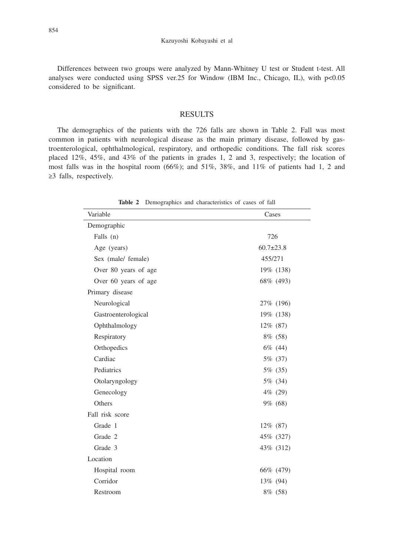Differences between two groups were analyzed by Mann-Whitney U test or Student t-test. All analyses were conducted using SPSS ver.25 for Window (IBM Inc., Chicago, IL), with  $p<0.05$ considered to be significant.

### RESULTS

The demographics of the patients with the 726 falls are shown in Table 2. Fall was most common in patients with neurological disease as the main primary disease, followed by gastroenterological, ophthalmological, respiratory, and orthopedic conditions. The fall risk scores placed 12%, 45%, and 43% of the patients in grades 1, 2 and 3, respectively; the location of most falls was in the hospital room (66%); and 51%, 38%, and 11% of patients had 1, 2 and ≥3 falls, respectively.

| Variable             | Cases           |
|----------------------|-----------------|
| Demographic          |                 |
| Falls (n)            | 726             |
| Age (years)          | $60.7 \pm 23.8$ |
| Sex (male/ female)   | 455/271         |
| Over 80 years of age | 19% (138)       |
| Over 60 years of age | 68% (493)       |
| Primary disease      |                 |
| Neurological         | 27\% (196)      |
| Gastroenterological  | 19% (138)       |
| Ophthalmology        | 12% (87)        |
| Respiratory          | 8% (58)         |
| Orthopedics          | 6% (44)         |
| Cardiac              | 5% (37)         |
| Pediatrics           | 5% (35)         |
| Otolaryngology       | 5% (34)         |
| Genecology           | 4% (29)         |
| Others               | 9% (68)         |
| Fall risk score      |                 |
| Grade 1              | $12\%$ (87)     |
| Grade 2              | 45% (327)       |
| Grade 3              | 43% (312)       |
| Location             |                 |
| Hospital room        | 66\% (479)      |
| Corridor             | 13\% (94)       |
| Restroom             | 8% (58)         |

**Table 2** Demographics and characteristics of cases of fall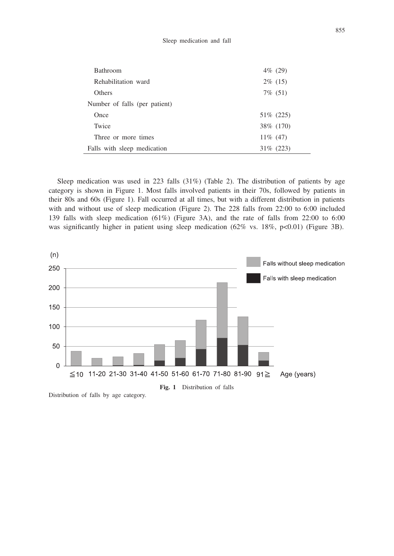| <b>Bathroom</b>               | 4\% (29)     |
|-------------------------------|--------------|
| Rehabilitation ward           | $2\%$ (15)   |
| <b>Others</b>                 | $7\%$ (51)   |
| Number of falls (per patient) |              |
| Once                          | 51\% (225)   |
| Twice                         | 38\% (170)   |
| Three or more times           | $11\%$ (47)  |
| Falls with sleep medication   | $31\%$ (223) |

Sleep medication was used in 223 falls (31%) (Table 2). The distribution of patients by age category is shown in Figure 1. Most falls involved patients in their 70s, followed by patients in their 80s and 60s (Figure 1). Fall occurred at all times, but with a different distribution in patients with and without use of sleep medication (Figure 2). The 228 falls from 22:00 to 6:00 included 139 falls with sleep medication (61%) (Figure 3A), and the rate of falls from 22:00 to 6:00 was significantly higher in patient using sleep medication  $(62\%$  vs. 18%, p<0.01) (Figure 3B).



Distribution of falls by age category.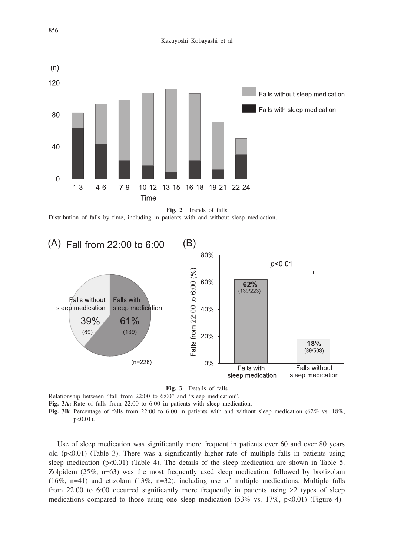

**Fig. 2** Trends of falls

Distribution of falls by time, including in patients with and without sleep medication.



**Fig. 3** Details of falls

Relationship between "fall from 22:00 to 6:00" and "sleep medication".

**Fig. 3A:** Rate of falls from 22:00 to 6:00 in patients with sleep medication.

**Fig. 3B:** Percentage of falls from 22:00 to 6:00 in patients with and without sleep medication (62% vs. 18%, p<0.01).

Use of sleep medication was significantly more frequent in patients over 60 and over 80 years old  $(p<0.01)$  (Table 3). There was a significantly higher rate of multiple falls in patients using sleep medication  $(p<0.01)$  (Table 4). The details of the sleep medication are shown in Table 5. Zolpidem (25%, n=63) was the most frequently used sleep medication, followed by brotizolam (16%, n=41) and etizolam (13%, n=32), including use of multiple medications. Multiple falls from 22:00 to 6:00 occurred significantly more frequently in patients using ≥2 types of sleep medications compared to those using one sleep medication  $(53\% \text{ vs. } 17\%, \text{ p} < 0.01)$  (Figure 4).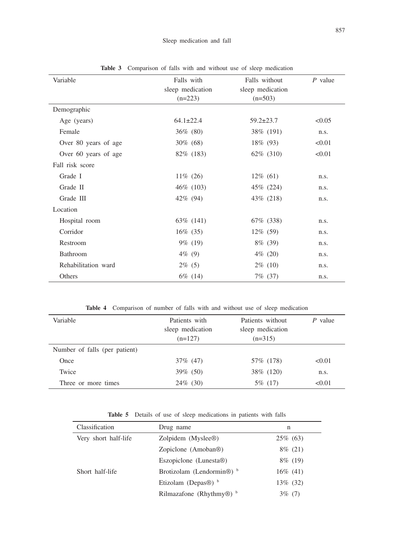| Variable             | Falls with<br>sleep medication<br>$(n=223)$ | Falls without<br>sleep medication<br>$(n=503)$ | $P$ value |
|----------------------|---------------------------------------------|------------------------------------------------|-----------|
| Demographic          |                                             |                                                |           |
| Age (years)          | $64.1 \pm 22.4$                             | $59.2 \pm 23.7$                                | < 0.05    |
| Female               | $36\%$ (80)                                 | 38\% (191)                                     | n.s.      |
| Over 80 years of age | $30\%$ (68)                                 | $18\%$ (93)                                    | < 0.01    |
| Over 60 years of age | 82\% (183)                                  | 62\% (310)                                     | < 0.01    |
| Fall risk score      |                                             |                                                |           |
| Grade I              | $11\%$ (26)                                 | $12\%$ (61)                                    | n.s.      |
| Grade II             | 46\% (103)                                  | 45\% (224)                                     | n.s.      |
| Grade III            | 42\% (94)                                   | 43\% (218)                                     | n.s.      |
| Location             |                                             |                                                |           |
| Hospital room        | 63\% (141)                                  | 67\% (338)                                     | n.s.      |
| Corridor             | $16\%$ (35)                                 | $12\%$ (59)                                    | n.s.      |
| Restroom             | $9\%$ (19)                                  | $8\%$ (39)                                     | n.s.      |
| Bathroom             | $4\%$ (9)                                   | 4\% (20)                                       | n.s.      |
| Rehabilitation ward  | $2\%$ (5)                                   | $2\%$ (10)                                     | n.s.      |
| Others               | 6\% (14)                                    | 7\% (37)                                       | n.s.      |

Table 3 Comparison of falls with and without use of sleep medication

**Table 4** Comparison of number of falls with and without use of sleep medication

| Variable                      | Patients with<br>sleep medication<br>$(n=127)$ | Patients without<br>sleep medication<br>$(n=315)$ | $P$ value |
|-------------------------------|------------------------------------------------|---------------------------------------------------|-----------|
| Number of falls (per patient) |                                                |                                                   |           |
| Once                          | 37\% (47)                                      | 57\% (178)                                        | < 0.01    |
| Twice                         | $39\%$ (50)                                    | 38\% (120)                                        | n.s.      |
| Three or more times           | $24\%$ (30)                                    | 5\% (17)                                          | < 0.01    |

**Table 5** Details of use of sleep medications in patients with falls

| Classification       | Drug name                                  | n           |
|----------------------|--------------------------------------------|-------------|
| Very short half-life | Zolpidem (Myslee®)                         | $25\%$ (63) |
|                      | Zopiclone (Amoban <sup>®)</sup>            | $8\%$ (21)  |
|                      | Eszopiclone (Lunesta®)                     | $8\%$ (19)  |
| Short half-life      | Brotizolam (Lendormin <sup>®)</sup>        | $16\%$ (41) |
|                      | Etizolam (Depas <sup>®)</sup> b            | 13\% (32)   |
|                      | Rilmazafone (Rhythmy $\circledR$ ) $\circ$ | 3% (7)      |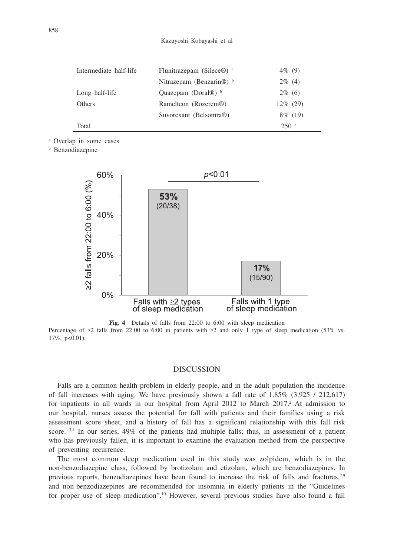| Intermediate half-life | Flunitrazepam (Silece <sup>®)</sup> b | $4\%$ (9)          |
|------------------------|---------------------------------------|--------------------|
|                        | Nitrazepam (Benzarin <sup>®)</sup>    | $2\%$ (4)          |
| Long half-life         | Quazepam (Doral $\circledR$ ) $\circ$ | $2\%$ (6)          |
| <b>Others</b>          | Ramelteon (Rozerem <sup>®)</sup>      | $12\%$ (29)        |
|                        | Suvorexant (Belsomra <sup>®)</sup>    | $8\%$ (19)         |
| Total                  |                                       | $250$ <sup>a</sup> |

a Overlap in some cases

b Benzodiazepine



**Fig. 4** Details of falls from 22:00 to 6:00 with sleep medication Percentage of ≥2 falls from 22:00 to 6:00 in patients with ≥2 and only 1 type of sleep medication (53% vs. 17%, p<0.01).

## DISCUSSION

Falls are a common health problem in elderly people, and in the adult population the incidence of fall increases with aging. We have previously shown a fall rate of 1.85% (3,925 / 212,617) for inpatients in all wards in our hospital from April 2012 to March 2017.<sup>2</sup> At admission to our hospital, nurses assess the potential for fall with patients and their families using a risk assessment score sheet, and a history of fall has a significant relationship with this fall risk score.<sup>1,3,4</sup> In our series,  $49\%$  of the patients had multiple falls; thus, in assessment of a patient who has previously fallen, it is important to examine the evaluation method from the perspective of preventing recurrence.

The most common sleep medication used in this study was zolpidem, which is in the non-benzodiazepine class, followed by brotizolam and etizolam, which are benzodiazepines. In previous reports, benzodiazepines have been found to increase the risk of falls and fractures,<sup>7,9</sup> and non-benzodiazepines are recommended for insomnia in elderly patients in the "Guidelines for proper use of sleep medication".10 However, several previous studies have also found a fall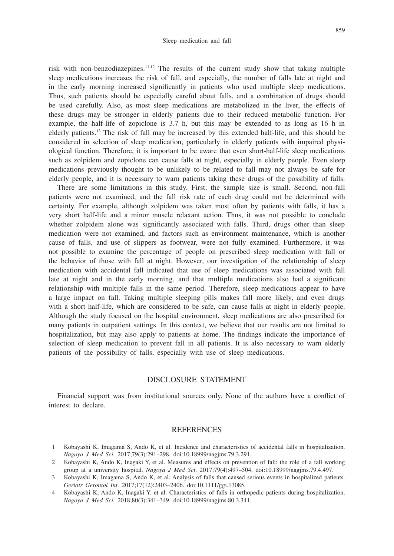859

risk with non-benzodiazepines.11,12 The results of the current study show that taking multiple sleep medications increases the risk of fall, and especially, the number of falls late at night and in the early morning increased significantly in patients who used multiple sleep medications. Thus, such patients should be especially careful about falls, and a combination of drugs should be used carefully. Also, as most sleep medications are metabolized in the liver, the effects of these drugs may be stronger in elderly patients due to their reduced metabolic function. For example, the half-life of zopiclone is 3.7 h, but this may be extended to as long as 16 h in elderly patients.13 The risk of fall may be increased by this extended half-life, and this should be considered in selection of sleep medication, particularly in elderly patients with impaired physiological function. Therefore, it is important to be aware that even short-half-life sleep medications such as zolpidem and zopiclone can cause falls at night, especially in elderly people. Even sleep medications previously thought to be unlikely to be related to fall may not always be safe for elderly people, and it is necessary to warn patients taking these drugs of the possibility of falls.

There are some limitations in this study. First, the sample size is small. Second, non-fall patients were not examined, and the fall risk rate of each drug could not be determined with certainty. For example, although zolpidem was taken most often by patients with falls, it has a very short half-life and a minor muscle relaxant action. Thus, it was not possible to conclude whether zolpidem alone was significantly associated with falls. Third, drugs other than sleep medication were not examined, and factors such as environment maintenance, which is another cause of falls, and use of slippers as footwear, were not fully examined. Furthermore, it was not possible to examine the percentage of people on prescribed sleep medication with fall or the behavior of those with fall at night. However, our investigation of the relationship of sleep medication with accidental fall indicated that use of sleep medications was associated with fall late at night and in the early morning, and that multiple medications also had a significant relationship with multiple falls in the same period. Therefore, sleep medications appear to have a large impact on fall. Taking multiple sleeping pills makes fall more likely, and even drugs with a short half-life, which are considered to be safe, can cause falls at night in elderly people. Although the study focused on the hospital environment, sleep medications are also prescribed for many patients in outpatient settings. In this context, we believe that our results are not limited to hospitalization, but may also apply to patients at home. The findings indicate the importance of selection of sleep medication to prevent fall in all patients. It is also necessary to warn elderly patients of the possibility of falls, especially with use of sleep medications.

### DISCLOSURE STATEMENT

Financial support was from institutional sources only. None of the authors have a conflict of interest to declare.

#### REFERENCES

- 1 Kobayashi K, Imagama S, Ando K, et al. Incidence and characteristics of accidental falls in hospitalization. *Nagoya J Med Sci*. 2017;79(3):291–298. doi:10.18999/nagjms.79.3.291.
- 2 Kobayashi K, Ando K, Inagaki Y, et al. Measures and effects on prevention of fall: the role of a fall working group at a university hospital. *Nagoya J Med Sci*. 2017;79(4):497–504. doi:10.18999/nagjms.79.4.497.
- 3 Kobayashi K, Imagama S, Ando K, et al. Analysis of falls that caused serious events in hospitalized patients. *Geriatr Gerontol Int*. 2017;17(12):2403–2406. doi:10.1111/ggi.13085.
- 4 Kobayashi K, Ando K, Inagaki Y, et al. Characteristics of falls in orthopedic patients during hospitalization. *Nagoya J Med Sci*. 2018;80(3):341–349. doi:10.18999/nagjms.80.3.341.